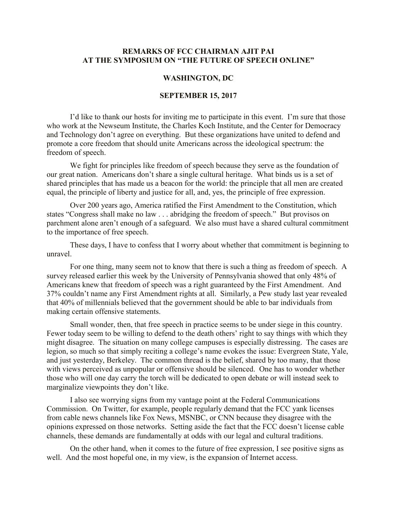## **REMARKS OF FCC CHAIRMAN AJIT PAI AT THE SYMPOSIUM ON "THE FUTURE OF SPEECH ONLINE"**

## **WASHINGTON, DC**

## **SEPTEMBER 15, 2017**

I'd like to thank our hosts for inviting me to participate in this event. I'm sure that those who work at the Newseum Institute, the Charles Koch Institute, and the Center for Democracy and Technology don't agree on everything. But these organizations have united to defend and promote a core freedom that should unite Americans across the ideological spectrum: the freedom of speech.

We fight for principles like freedom of speech because they serve as the foundation of our great nation. Americans don't share a single cultural heritage. What binds us is a set of shared principles that has made us a beacon for the world: the principle that all men are created equal, the principle of liberty and justice for all, and, yes, the principle of free expression.

Over 200 years ago, America ratified the First Amendment to the Constitution, which states "Congress shall make no law . . . abridging the freedom of speech." But provisos on parchment alone aren't enough of a safeguard. We also must have a shared cultural commitment to the importance of free speech.

These days, I have to confess that I worry about whether that commitment is beginning to unravel.

For one thing, many seem not to know that there is such a thing as freedom of speech. A survey released earlier this week by the University of Pennsylvania showed that only 48% of Americans knew that freedom of speech was a right guaranteed by the First Amendment. And 37% couldn't name any First Amendment rights at all. Similarly, a Pew study last year revealed that 40% of millennials believed that the government should be able to bar individuals from making certain offensive statements.

Small wonder, then, that free speech in practice seems to be under siege in this country. Fewer today seem to be willing to defend to the death others' right to say things with which they might disagree. The situation on many college campuses is especially distressing. The cases are legion, so much so that simply reciting a college's name evokes the issue: Evergreen State, Yale, and just yesterday, Berkeley. The common thread is the belief, shared by too many, that those with views perceived as unpopular or offensive should be silenced. One has to wonder whether those who will one day carry the torch will be dedicated to open debate or will instead seek to marginalize viewpoints they don't like.

I also see worrying signs from my vantage point at the Federal Communications Commission. On Twitter, for example, people regularly demand that the FCC yank licenses from cable news channels like Fox News, MSNBC, or CNN because they disagree with the opinions expressed on those networks. Setting aside the fact that the FCC doesn't license cable channels, these demands are fundamentally at odds with our legal and cultural traditions.

On the other hand, when it comes to the future of free expression, I see positive signs as well. And the most hopeful one, in my view, is the expansion of Internet access.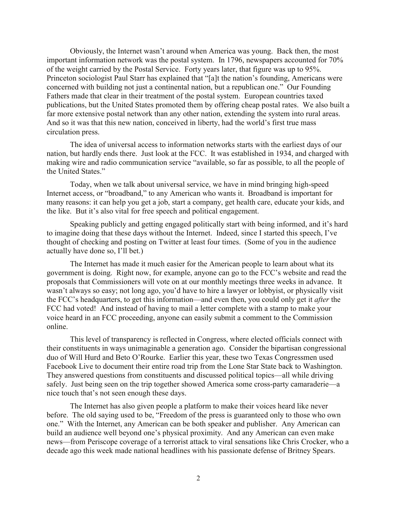Obviously, the Internet wasn't around when America was young. Back then, the most important information network was the postal system. In 1796, newspapers accounted for 70% of the weight carried by the Postal Service. Forty years later, that figure was up to 95%. Princeton sociologist Paul Starr has explained that "[a]t the nation's founding, Americans were concerned with building not just a continental nation, but a republican one." Our Founding Fathers made that clear in their treatment of the postal system. European countries taxed publications, but the United States promoted them by offering cheap postal rates. We also built a far more extensive postal network than any other nation, extending the system into rural areas. And so it was that this new nation, conceived in liberty, had the world's first true mass circulation press.

The idea of universal access to information networks starts with the earliest days of our nation, but hardly ends there. Just look at the FCC. It was established in 1934, and charged with making wire and radio communication service "available, so far as possible, to all the people of the United States."

Today, when we talk about universal service, we have in mind bringing high-speed Internet access, or "broadband," to any American who wants it. Broadband is important for many reasons: it can help you get a job, start a company, get health care, educate your kids, and the like. But it's also vital for free speech and political engagement.

Speaking publicly and getting engaged politically start with being informed, and it's hard to imagine doing that these days without the Internet. Indeed, since I started this speech, I've thought of checking and posting on Twitter at least four times. (Some of you in the audience actually have done so, I'll bet.)

The Internet has made it much easier for the American people to learn about what its government is doing. Right now, for example, anyone can go to the FCC's website and read the proposals that Commissioners will vote on at our monthly meetings three weeks in advance. It wasn't always so easy; not long ago, you'd have to hire a lawyer or lobbyist, or physically visit the FCC's headquarters, to get this information—and even then, you could only get it *after* the FCC had voted! And instead of having to mail a letter complete with a stamp to make your voice heard in an FCC proceeding, anyone can easily submit a comment to the Commission online.

This level of transparency is reflected in Congress, where elected officials connect with their constituents in ways unimaginable a generation ago. Consider the bipartisan congressional duo of Will Hurd and Beto O'Rourke. Earlier this year, these two Texas Congressmen used Facebook Live to document their entire road trip from the Lone Star State back to Washington. They answered questions from constituents and discussed political topics—all while driving safely. Just being seen on the trip together showed America some cross-party camaraderie—a nice touch that's not seen enough these days.

The Internet has also given people a platform to make their voices heard like never before. The old saying used to be, "Freedom of the press is guaranteed only to those who own one." With the Internet, any American can be both speaker and publisher. Any American can build an audience well beyond one's physical proximity. And any American can even make news—from Periscope coverage of a terrorist attack to viral sensations like Chris Crocker, who a decade ago this week made national headlines with his passionate defense of Britney Spears.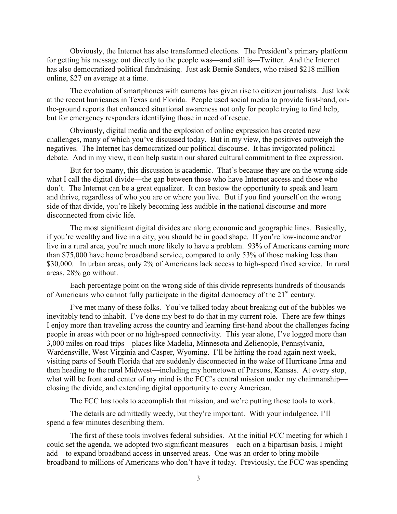Obviously, the Internet has also transformed elections. The President's primary platform for getting his message out directly to the people was—and still is—Twitter. And the Internet has also democratized political fundraising. Just ask Bernie Sanders, who raised \$218 million online, \$27 on average at a time.

The evolution of smartphones with cameras has given rise to citizen journalists. Just look at the recent hurricanes in Texas and Florida. People used social media to provide first-hand, onthe-ground reports that enhanced situational awareness not only for people trying to find help, but for emergency responders identifying those in need of rescue.

Obviously, digital media and the explosion of online expression has created new challenges, many of which you've discussed today. But in my view, the positives outweigh the negatives. The Internet has democratized our political discourse. It has invigorated political debate. And in my view, it can help sustain our shared cultural commitment to free expression.

But for too many, this discussion is academic. That's because they are on the wrong side what I call the digital divide—the gap between those who have Internet access and those who don't. The Internet can be a great equalizer. It can bestow the opportunity to speak and learn and thrive, regardless of who you are or where you live. But if you find yourself on the wrong side of that divide, you're likely becoming less audible in the national discourse and more disconnected from civic life.

The most significant digital divides are along economic and geographic lines. Basically, if you're wealthy and live in a city, you should be in good shape. If you're low-income and/or live in a rural area, you're much more likely to have a problem. 93% of Americans earning more than \$75,000 have home broadband service, compared to only 53% of those making less than \$30,000. In urban areas, only 2% of Americans lack access to high-speed fixed service. In rural areas, 28% go without.

Each percentage point on the wrong side of this divide represents hundreds of thousands of Americans who cannot fully participate in the digital democracy of the 21<sup>st</sup> century.

I've met many of these folks. You've talked today about breaking out of the bubbles we inevitably tend to inhabit. I've done my best to do that in my current role. There are few things I enjoy more than traveling across the country and learning first-hand about the challenges facing people in areas with poor or no high-speed connectivity. This year alone, I've logged more than 3,000 miles on road trips—places like Madelia, Minnesota and Zelienople, Pennsylvania, Wardensville, West Virginia and Casper, Wyoming. I'll be hitting the road again next week, visiting parts of South Florida that are suddenly disconnected in the wake of Hurricane Irma and then heading to the rural Midwest—including my hometown of Parsons, Kansas. At every stop, what will be front and center of my mind is the FCC's central mission under my chairmanship closing the divide, and extending digital opportunity to every American.

The FCC has tools to accomplish that mission, and we're putting those tools to work.

The details are admittedly weedy, but they're important. With your indulgence, I'll spend a few minutes describing them.

The first of these tools involves federal subsidies. At the initial FCC meeting for which I could set the agenda, we adopted two significant measures—each on a bipartisan basis, I might add—to expand broadband access in unserved areas. One was an order to bring mobile broadband to millions of Americans who don't have it today. Previously, the FCC was spending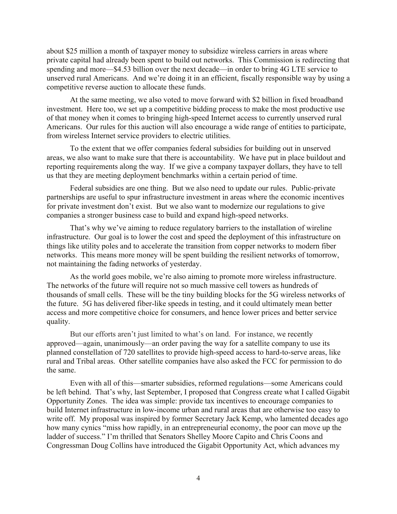about \$25 million a month of taxpayer money to subsidize wireless carriers in areas where private capital had already been spent to build out networks. This Commission is redirecting that spending and more—\$4.53 billion over the next decade—in order to bring 4G LTE service to unserved rural Americans. And we're doing it in an efficient, fiscally responsible way by using a competitive reverse auction to allocate these funds.

At the same meeting, we also voted to move forward with \$2 billion in fixed broadband investment. Here too, we set up a competitive bidding process to make the most productive use of that money when it comes to bringing high-speed Internet access to currently unserved rural Americans. Our rules for this auction will also encourage a wide range of entities to participate, from wireless Internet service providers to electric utilities.

To the extent that we offer companies federal subsidies for building out in unserved areas, we also want to make sure that there is accountability. We have put in place buildout and reporting requirements along the way. If we give a company taxpayer dollars, they have to tell us that they are meeting deployment benchmarks within a certain period of time.

Federal subsidies are one thing. But we also need to update our rules. Public-private partnerships are useful to spur infrastructure investment in areas where the economic incentives for private investment don't exist. But we also want to modernize our regulations to give companies a stronger business case to build and expand high-speed networks.

That's why we've aiming to reduce regulatory barriers to the installation of wireline infrastructure. Our goal is to lower the cost and speed the deployment of this infrastructure on things like utility poles and to accelerate the transition from copper networks to modern fiber networks. This means more money will be spent building the resilient networks of tomorrow, not maintaining the fading networks of yesterday.

As the world goes mobile, we're also aiming to promote more wireless infrastructure. The networks of the future will require not so much massive cell towers as hundreds of thousands of small cells. These will be the tiny building blocks for the 5G wireless networks of the future. 5G has delivered fiber-like speeds in testing, and it could ultimately mean better access and more competitive choice for consumers, and hence lower prices and better service quality.

But our efforts aren't just limited to what's on land. For instance, we recently approved—again, unanimously—an order paving the way for a satellite company to use its planned constellation of 720 satellites to provide high-speed access to hard-to-serve areas, like rural and Tribal areas. Other satellite companies have also asked the FCC for permission to do the same.

Even with all of this—smarter subsidies, reformed regulations—some Americans could be left behind. That's why, last September, I proposed that Congress create what I called Gigabit Opportunity Zones. The idea was simple: provide tax incentives to encourage companies to build Internet infrastructure in low-income urban and rural areas that are otherwise too easy to write off. My proposal was inspired by former Secretary Jack Kemp, who lamented decades ago how many cynics "miss how rapidly, in an entrepreneurial economy, the poor can move up the ladder of success." I'm thrilled that Senators Shelley Moore Capito and Chris Coons and Congressman Doug Collins have introduced the Gigabit Opportunity Act, which advances my